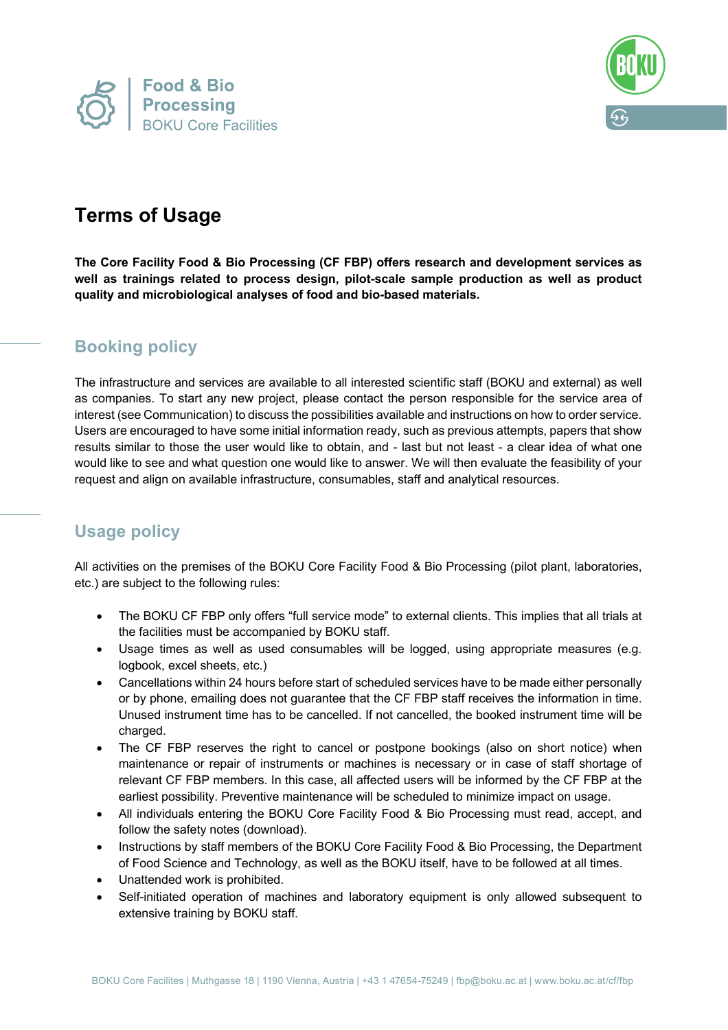



# **Terms of Usage**

**The Core Facility Food & Bio Processing (CF FBP) offers research and development services as well as trainings related to process design, pilot-scale sample production as well as product quality and microbiological analyses of food and bio-based materials.**

## **Booking policy**

The infrastructure and services are available to all interested scientific staff (BOKU and external) as well as companies. To start any new project, please contact the person responsible for the service area of interest (see Communication) to discuss the possibilities available and instructions on how to order service. Users are encouraged to have some initial information ready, such as previous attempts, papers that show results similar to those the user would like to obtain, and - last but not least - a clear idea of what one would like to see and what question one would like to answer. We will then evaluate the feasibility of your request and align on available infrastructure, consumables, staff and analytical resources.

# **Usage policy**

All activities on the premises of the BOKU Core Facility Food & Bio Processing (pilot plant, laboratories, etc.) are subject to the following rules:

- The BOKU CF FBP only offers "full service mode" to external clients. This implies that all trials at the facilities must be accompanied by BOKU staff.
- Usage times as well as used consumables will be logged, using appropriate measures (e.g. logbook, excel sheets, etc.)
- Cancellations within 24 hours before start of scheduled services have to be made either personally or by phone, emailing does not guarantee that the CF FBP staff receives the information in time. Unused instrument time has to be cancelled. If not cancelled, the booked instrument time will be charged.
- The CF FBP reserves the right to cancel or postpone bookings (also on short notice) when maintenance or repair of instruments or machines is necessary or in case of staff shortage of relevant CF FBP members. In this case, all affected users will be informed by the CF FBP at the earliest possibility. Preventive maintenance will be scheduled to minimize impact on usage.
- All individuals entering the BOKU Core Facility Food & Bio Processing must read, accept, and follow the safety notes (download).
- Instructions by staff members of the BOKU Core Facility Food & Bio Processing, the Department of Food Science and Technology, as well as the BOKU itself, have to be followed at all times.
- Unattended work is prohibited.
- Self-initiated operation of machines and laboratory equipment is only allowed subsequent to extensive training by BOKU staff.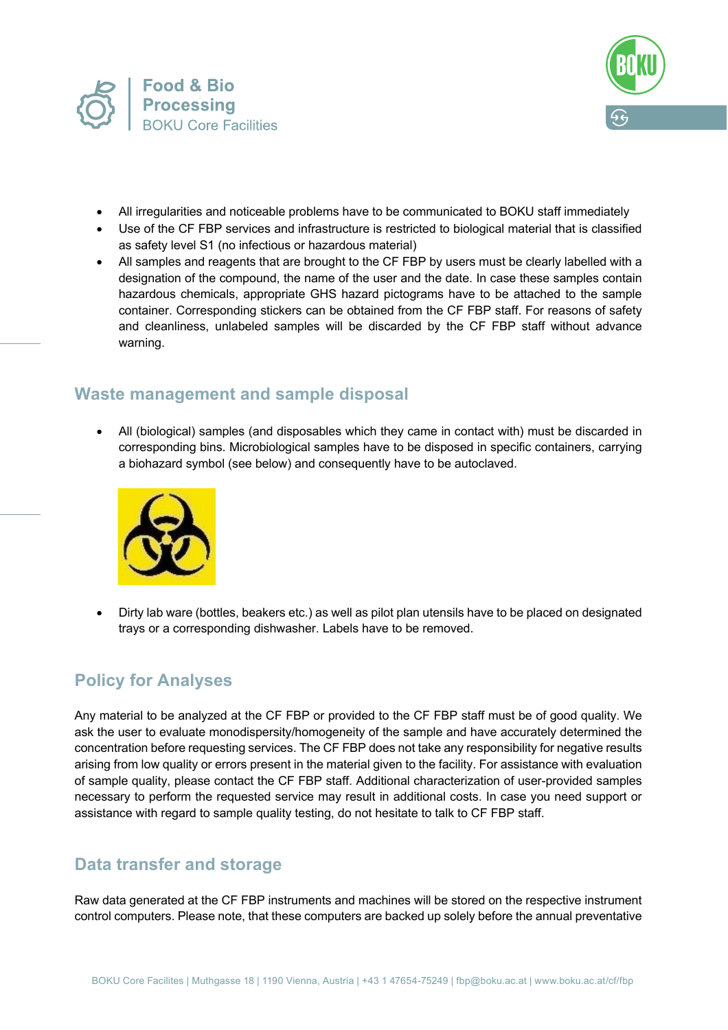



- All irregularities and noticeable problems have to be communicated to BOKU staff immediately
- Use of the CF FBP services and infrastructure is restricted to biological material that is classified as safety level S1 (no infectious or hazardous material)
- All samples and reagents that are brought to the CF FBP by users must be clearly labelled with a designation of the compound, the name of the user and the date. In case these samples contain hazardous chemicals, appropriate GHS hazard pictograms have to be attached to the sample container. Corresponding stickers can be obtained from the CF FBP staff. For reasons of safety and cleanliness, unlabeled samples will be discarded by the CF FBP staff without advance warning.

#### **Waste management and sample disposal**

• All (biological) samples (and disposables which they came in contact with) must be discarded in corresponding bins. Microbiological samples have to be disposed in specific containers, carrying a biohazard symbol (see below) and consequently have to be autoclaved.



• Dirty lab ware (bottles, beakers etc.) as well as pilot plan utensils have to be placed on designated trays or a corresponding dishwasher. Labels have to be removed.

## **Policy for Analyses**

Any material to be analyzed at the CF FBP or provided to the CF FBP staff must be of good quality. We ask the user to evaluate monodispersity/homogeneity of the sample and have accurately determined the concentration before requesting services. The CF FBP does not take any responsibility for negative results arising from low quality or errors present in the material given to the facility. For assistance with evaluation of sample quality, please contact the CF FBP staff. Additional characterization of user-provided samples necessary to perform the requested service may result in additional costs. In case you need support or assistance with regard to sample quality testing, do not hesitate to talk to CF FBP staff.

#### **Data transfer and storage**

Raw data generated at the CF FBP instruments and machines will be stored on the respective instrument control computers. Please note, that these computers are backed up solely before the annual preventative